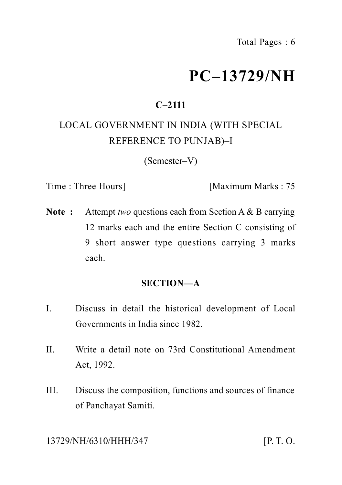# **PC–13729/NH**

# **C–2111**

# LOCAL GOVERNMENT IN INDIA (WITH SPECIAL REFERENCE TO PUNJAB)–I

(Semester–V)

Time : Three Hours] [Maximum Marks : 75

**Note :** Attempt *two* questions each from Section A & B carrying 12 marks each and the entire Section C consisting of 9 short answer type questions carrying 3 marks each.

#### **SECTION—A**

- I. Discuss in detail the historical development of Local Governments in India since 1982.
- II. Write a detail note on 73rd Constitutional Amendment Act, 1992.
- III. Discuss the composition, functions and sources of finance of Panchayat Samiti.

13729/NH/6310/HHH/347 [P. T. O.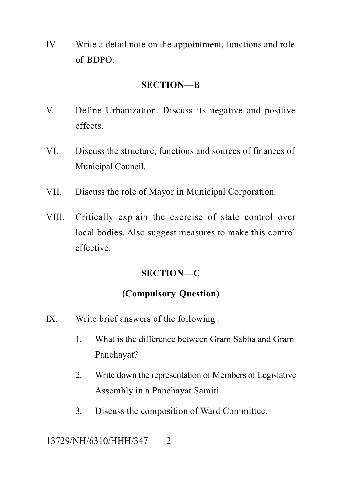IV. Write a detail note on the appointment, functions and role of BDPO.

#### **SECTION—B**

- V. Define Urbanization. Discuss its negative and positive effects.
- VI. Discuss the structure, functions and sources of finances of Municipal Council.
- VII. Discuss the role of Mayor in Municipal Corporation.
- VIII. Critically explain the exercise of state control over local bodies. Also suggest measures to make this control effective.

## **SECTION—C**

## **(Compulsory Question)**

- IX. Write brief answers of the following :
	- 1. What is the difference between Gram Sabha and Gram Panchayat?
	- 2. Write down the representation of Members of Legislative Assembly in a Panchayat Samiti.
	- 3. Discuss the composition of Ward Committee.

13729/NH/6310/HHH/347 2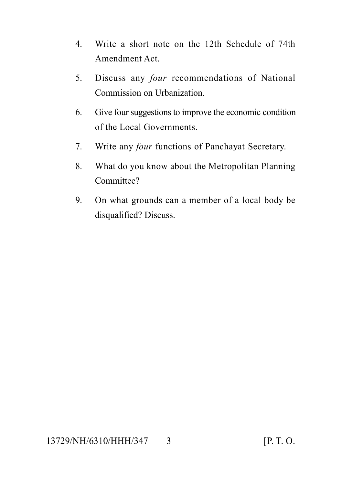- 4. Write a short note on the 12th Schedule of 74th Amendment Act.
- 5. Discuss any *four* recommendations of National Commission on Urbanization.
- 6. Give four suggestions to improve the economic condition of the Local Governments.
- 7. Write any *four* functions of Panchayat Secretary.
- 8. What do you know about the Metropolitan Planning Committee?
- 9. On what grounds can a member of a local body be disqualified? Discuss.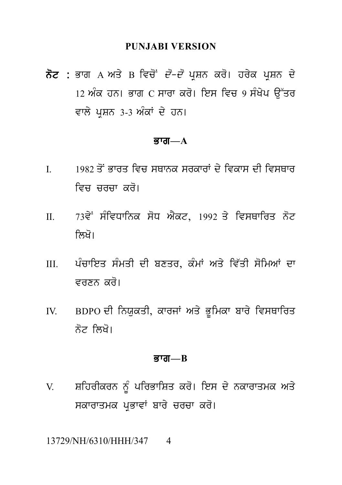#### **PUNJABI VERSION**

PUNJABI VERSION<br>ਨੋਟ : ਭਾਗ A ਅਤੇ B ਵਿਚੋਂ *ਦੋ–ਦੋ* ਪ੍ਰਸ਼ਨ ਕਰੋ। ਹਰੇਕ ਪ੍ਰਸ਼ਨ ਦੇ<br>12 ਅੰਕ ਹਨ। ਭਾਗ C ਸਾਰਾ ਕਰੋ। ਇਸ ਵਿਚ 9 ਸੰਬੇਪ ਉੱਤਰ PUNJABI VERSION<br>ਭਾਗ A ਅਤੇ B ਵਿਚੋਂ *ਦੋ–ਦੋ* ਪ੍ਰਸ਼ਨ ਕਰੋ। ਹਰੇਕ ਪ੍ਰਸ਼ਨ ਦੇ<br>12 ਅੰਕ ਹਨ। ਭਾਗ C ਸਾਰਾ ਕਰੋ। ਇਸ ਵਿਚ 9 ਸੰਖੇਪ ਉੱਤਰ<br>ਵਾਲੇ ਪ੍ਰਸ਼ਨ 3-3 ਅੰਕਾਂ ਦੇ ਹਨ। ਭਾਗ A ਅਤੇ B ਵਿਚੋਂ *ਦੋ–ਦੋ* ਪ੍ਰਸ਼ਨ ਕਰੋ। ਹਰੇਹ<br>12 ਅੰਕ ਹਨ। ਭਾਗ C ਸਾਰਾ ਕਰੋ। ਇਸ ਵਿਚ 9 ਸ<br>ਵਾਲੇ ਪ੍ਰਸ਼ਨ 3-3 ਅੰਕਾਂ ਦੇ ਹਨ।<br>**ਭਾਗ—A** 

#### $\overline{g}$ ਯ $-A$

- ਤਾਗ—A<br>I. 1982 ਤੋਂ ਭਾਰਤ ਵਿਚ ਸਥਾਨਕ ਸਰਕਾਰਾਂ ਦੇ ਵਿਕਾਸ ਦੀ ਵਿਸਥਾਰ<br>ਵਿਚ ਚਰਚਾ ਕਰੋ। **ਭਾਗ—A**<br>1982 ਤੋਂ ਭਾਰਤ ਵਿਚ ਸਥਾਨਕ ਸਰਕਾਰਾਂ ਦੇ<br>ਵਿਚ ਚਰਚਾ ਕਰੋ।<br>73ਵੇਂ ਸੰਵਿਧਾਨਿਕ ਸੋਧ ਐਕਟ, 1992 ਂ
- I. 1982 ਤੋਂ ਭਾਰਤ ਵਿਚ ਸਥਾਨਕ ਸਰਕਾਰਾਂ ਦੇ ਵਿਕਾਸ ਦੀ ਵਿਸਥਾਰ<br>ਵਿਚ ਚਰਚਾ ਕਰੋ।<br>II. 73ਵੇਂ ਸੰਵਿਧਾਨਿਕ ਸੋਧ ਐਕਟ, 1992 ਤੇ ਵਿਸਥਾਰਿਤ ਨੋਟ<br>ਲਿਖੋ। ਵਿਚ ਚਰਚਾ ਕਰੋ।<br><sup>73ਵੇਂ</sup> ਸੰਵਿਧਾਨਿਕ ਸੋਧ ਐੈਂਕ<br>ਲਿਖੋ।<br>ਪੰਚਾਇਤ ਸੰਮਤੀ ਦੀ ਬਣਤਰ
- II. 73ਵੇਂ ਸੰਵਿਧਾਨਿਕ ਸੋਧ ਐਕਟ, 1992 ਤੇ ਵਿਸਥਾਰਿਤ ਨੋਟ<br>ਲਿਖੋ।<br>III. ਪੰਚਾਇਤ ਸੰਮਤੀ ਦੀ ਬਣਤਰ, ਕੰਮਾਂ ਅਤੇ ਵਿੱਤੀ ਸੋਮਿਆਂ ਦਾ<br>ਵਰਣਨ ਕਰੋ। ਲਿਖੋ।<br>ਪੰਚਾਇਤ ਸੰਮਤੀ ਦੀ ਬਣਤਰ, ਕੰਮਾਂ<br>ਵਰਣਨ ਕਰੋ।<br>BDPO ਦੀ ਨਿਯੁਕਤੀ, ਕਾਰਜਾਂ ਅਤੇ III. ਪੰਚਾਇਤ ਸੰਮਤੀ ਦੀ ਬਣਤਰ, ਕੰਮਾਂ ਅਤੇ ਵਿੱਤੀ ਸੋਮਿਆਂ ਦਾ<br>ਵਰਣਨ ਕਰੋ।<br>IV. BDPO ਦੀ ਨਿਯੁਕਤੀ, ਕਾਰਜਾਂ ਅਤੇ ਭੂਮਿਕਾ ਬਾਰੇ ਵਿਸਥਾਰਿਤ<br>ਨੋਟ ਲਿਖੋ।
- ਵਰਣਨ ਕਰੋ।<br>BDPO ਦੀ ਨਿਯੁਕਤੀ, ਕਾਰਜਾਂ ਅਤ<br>ਨੋਟ ਲਿਖੋ।<br>**ਭਾਗ—B**

#### Bwg**—B**

ਭਾਗ—B<br>V. ਸ਼ਹਿਰੀਕਰਨ ਨੂੰ ਪਰਿਭਾਸ਼ਿਤ ਕਰੋ। ਇਸ ਦੇ ਨਕਾਰਾਤਮਕ ਅਤੇ<br>ਸਕਾਰਾਤਮਕ ਪ੍ਰਭਾਵਾਂ ਬਾਰੇ ਚਰਚਾ ਕਰੋ। **ਭਾਗ—B<br>ਸ਼**ਹਿਰੀਕਰਨ ਨੂੰ ਪਰਿਭਾਸ਼ਿਤ ਕਰੋ। ਇਸ ਦੇ ਨਕਾਰਾਤਮਕ ਅਤੇ<br>ਸਕਾਰਾਤਮਕ ਪ੍ਰਭਾਵਾਂ ਬਾਰੇ ਚਰਚਾ ਕਰੋ।<br>ਆਪ⁄?10/000/247 = 4

13729/NH/6310/HHH/347 4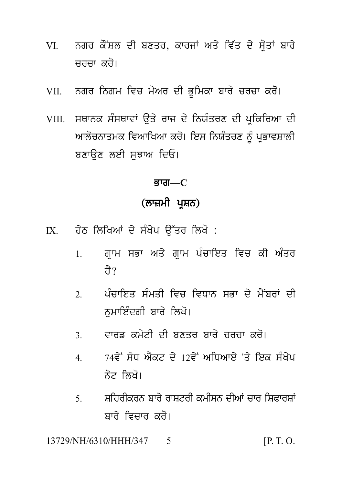- VI. ਨਗਰ ਕੌਂਸ਼ਲ ਦੀ ਬਣਤਰ, ਕਾਰਜਾਂ ਅਤੇ ਵਿੱਤ ਦੇ ਸ੍ਰੋਤਾਂ ਬਾਰੇ<br>ਚਰਚਾ ਕਰੋ। ਨਗਰ ਕੌਂਸ਼ਲ ਦੀ ਬਣਤਰ, ਕਾਰਜਾਂ<br>ਚਰਚਾ ਕਰੋ।<br>ਨਗਰ ਨਿਗਮ ਵਿਚ ਮੇਅਰ ਦੀ ਭੂਮਿ VII. ngr ingm ivc m yAr dI B Uimkw bwr y crcw kr o[
- 
- VII. ਨਗਰ ਨਿਗਮ ਵਿਚ ਮੇਅਰ ਦੀ ਭੂਮਿਕਾ ਬਾਰੇ ਚਰਚਾ ਕਰੋ।<br>VIII. ਸਥਾਨਕ ਸੰਸਥਾਵਾਂ ਉਤੇ ਰਾਜ ਦੇ ਨਿਯੰਤਰਣ ਦੀ ਪ੍ਰਕਿਰਿਆ ਦੀ<br>ਆਲੋਚਨਾਤਮਕ ਵਿਆਖਿਆ ਕਰੋ। ਇਸ ਨਿਯੰਤਰਣ ਨੂੰ ਪ੍ਰਭਾਵਸ਼ਾਲੀ<br>ਤਨਾਉਣ ਲਈ ਸਵਾਅ ਰਿਓ। ਨਗਰ ਨਿਗਮ ਵਿਚ ਮੇਅਰ ਦੀ ਭੂਮਿਕਾ ਬਾਰੇ ਚਰਚਾ ਕਰੋ।<br>ਸਥਾਨਕ ਸੰਸਥਾਵਾਂ ਉਤੇ ਰਾਜ ਦੇ ਨਿਯੰਤਰਣ ਦੀ ਪ੍ਰਕਿਰਿਆ ਦੀ<br>ਆਲੋਚਨਾਤਮਕ ਵਿਆਖਿਆ ਕਰੋ। ਇਸ ਨਿਯੰਤਰਣ ਨੂੰ ਪ੍ਰਭਾਵਸ਼ਾਲੀ<br>ਬਣਾਉਣ ਲਈ ਸੁਝਾਅ ਦਿਓ। VIII. ਸਥਾਨਕ ਸੰਸਥਾਵਾਂ ਉਤੇ ਰਾਜ ਦੇ ਨਿਯੰਤਰਣ ਦੀ ਪ੍ਰਕਿਰਿਆ ਦੀ<br>ਆਲੋਚਨਾਤਮਕ ਵਿਆਖਿਆ ਕਰੋ। ਇਸ ਨਿਯੰਤਰਣ ਨੂੰ ਪ੍ਰਭਾਵਸ਼ਾਲੀ<br>ਬਣਾੳਣ ਲਈ ਸਝਾਅ ਦਿਓ। ਾਅ ਦਿਓ।<br>**ਭਾਗ—C**<br>(**ਲਾਜ਼ਮੀ ਪ੍ਰਸ਼ਨ)**<br>ਸੰਖੇਪ ਉੱਤਰ ਲਿਖੋ :

<u>ਭਾਗ—C</u>

- 
- <mark>ਭਾਗ—C</mark><br>(ਲਾਜ਼ਮੀ ਪ੍ਰਸ਼ਨ)<br>IX. ਹੇਠ ਲਿਖਿਆਂ ਦੇ ਸੰਖੇਪ ਉੱਤਰ ਲਿਖੋ :<br>1. ਗ੍ਰਾਮ ਸਭਾ ਅਤੇ ਗ੍ਰਾਮ ਪੰਚਾਇਤ ਵਿਚ ਕੀ ਅੰਤਰ (ਲਾਜ਼ਮਾ ਪ੍ਰਸ਼ਨ)<br>ਹੇਠ ਲਿਖਿਆਂ ਦੇ ਸੰਖੇਪ ਉੱਤਰ ਲਿਖੋ :<br>1. ਗ੍ਰਾਮ ਸਭਾ ਅਤੇ ਗ੍ਰਾਮ ਪੰਚਾਇਤ ਵਿਚ ਕੀ ਅੰਤਰ<br>ਹੈ? ਹੇਠ ਲਿਖਿਆਂ ਦੇ ਸੰਖੇਪ ਉੱਤਰ ਲਿਖੋ :<br>1. ਗ੍ਰਾਮ ਸਭਾ ਅਤੇ ਗ੍ਰਾਮ ਪੰਚਾਇਤ ਵਿਚ ਕੀ ਅੰਤਰ<br> ਹੈ?<br>2. ਪੰਚਾਇਤ ਸੰਮਤੀ ਵਿਚ ਵਿਧਾਨ ਸਭਾ ਦੇ ਮੈਂਬਰਾਂ ਦੀ<br> ਨਮਾਇੰਦਗੀ ਬਾਰੇ ਲਿਖੋ।
	- 1. ਗ੍ਰਾਮ ਸਭਾ ਅਤੇ ਗ੍ਰਾਮ ਪੰਚਾਇਤ ਵਿਚ ਕੀ ਅੰਤਰ<br>ਹੈ?<br>2. ਪੰਚਾਇਤ ਸੰਮਤੀ ਵਿਚ ਵਿਧਾਨ ਸਭਾ ਦੇ ਮੈਂਬਰਾਂ ਦੀ<br>ਨੁਮਾਇੰਦਗੀ ਬਾਰੇ ਲਿਖੋ। ਪੰਚਾਇਤ ਸੰਮਤੀ ਵਿਚ ਵਿਧਾਨ ਸਭਾ ਦੇ ਮੈਂਬਰਾਂ ਦੀ<br>ਨੁਮਾਇੰਦਗੀ ਬਾਰੇ ਲਿਖੋ।<br>ਵਾਰਡ ਕਮੇਟੀ ਦੀ ਬਣਤਰ ਬਾਰੇ ਚਰਚਾ ਕਰੋ। 2. ਪੰਚਾਇਤ ਸੰਮਤੀ ਵਿਚ ਵਿਧਾਨ ਸਭਾ ਦੇ ਮੈਂਬਰਾਂ ਦੀ<br>ਨੁਮਾਇੰਦਗੀ ਬਾਰੇ ਲਿਖੋ।<br>3. ਵਾਰਡ ਕਮੇਟੀ ਦੀ ਬਣਤਰ ਬਾਰੇ ਚਰਚਾ ਕਰੋ।<br>4. 74ਵੇਂ ਸੋਧ ਐਕਟ ਦੇ 12ਵੇਂ ਅਧਿਆਏ 'ਤੇ ਇਕ ਸੰਖੇਪ
	-
	- ਨੁਮਾਇੰਦਗੀ ਬਾਰੇ ਲਿਖੋ।<br>3. ਵਾਰਡ ਕਮੇਟੀ ਦੀ ਬਣਤਰ ਬਾਰੇ ਚਰਚਾ ਕਰੋ।<br>4. 74ਵੇਂ ਸੋਧ ਐਕਟ ਦੇ 12ਵੇਂ ਅਧਿਆਏ 'ਤੇ ਇਕ ਸੰਖੇਪ<br>ਨੋਟ ਲਿਖੋ। 74ਵੇਂ ਸੋਧ ਐਕਟ ਦੇ 12ਵੇਂ ਅਧਿਆਏ 'ਤੇ ਇਕ ਸੰਖੇਪ<br>ਨੋਟ ਲਿਖੋ।<br>ਸ਼ਹਿਰੀਕਰਨ ਬਾਰੇ ਰਾਸ਼ਟਰੀ ਕਮੀਸ਼ਨ ਦੀਆਂ ਚਾਰ ਸ਼ਿਫਾਰਸ਼ਾਂ<br>ਬਾਰੇ ਵਿਚਾਰ ਕਰੋ।
	- 5. ਸ਼ਹਿਰਕਿਰਨ ਬਾਰੇ ਰਾਸ਼ਟਰੀ ਕਮੀਸ਼ਨ ਦੀਆਂ ਚਾਰ ਸ਼ਿਫਾਰਸ਼ਾ ਨੋਟ ਲਿਖੋ।<br>ਸ਼ਹਿਰੀਕਰਨ ਬਾਰੇ ਰਾਸ਼ਟਰੀ ਕਮੀਸ਼ਨ ਦੀਆਂ ਚਾ<br>ਬਾਰੇ ਵਿਚਾਰ ਕਰੋ।<br>0/HHH/347 5

13729/NH/6310/HHH/347 5 [P. T. O.